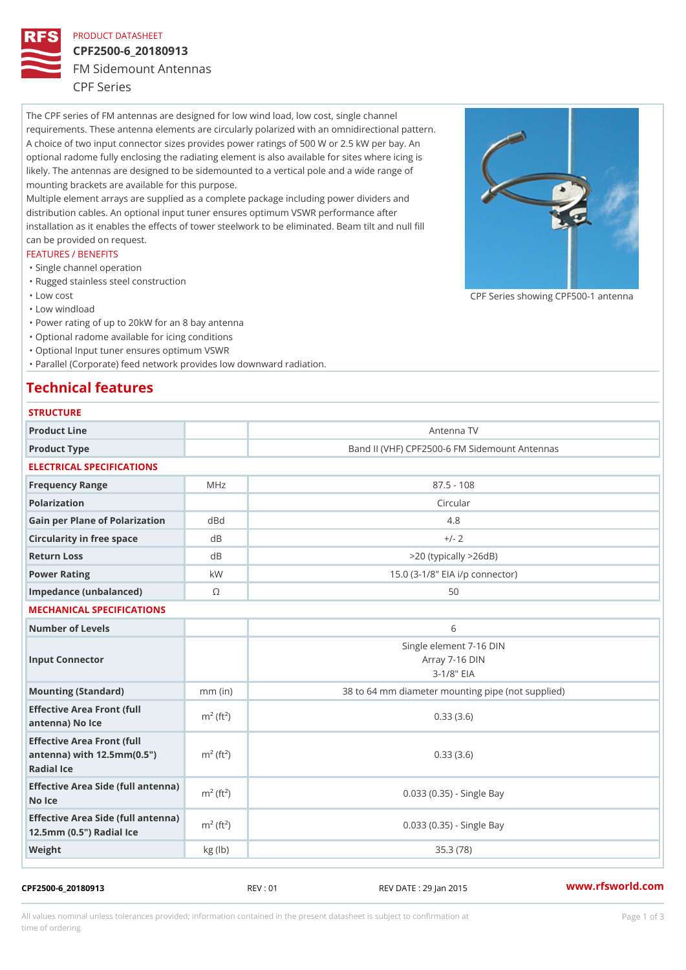## PRODUCT DATASHEET

# CPF2500-6\_20180913

FM Sidemount Antennas

CPF Series

The CPF series of FM antennas are designed for low wind load, low cost, single channel requirements. These antenna elements are circularly polarized with an omnidirectional pattern. A choice of two input connector sizes provides power ratings of 500 W or 2.5 kW per bay. An optional radome fully enclosing the radiating element is also available for sites where icing is likely. The antennas are designed to be sidemounted to a vertical pole and a wide range of mounting brackets are available for this purpose. Multiple element arrays are supplied as a complete package including power dividers and distribution cables. An optional input tuner ensures optimum VSWR performance after

installation as it enables the effects of tower steelwork to be eliminated. Beam tilt and null fill can be provided on request.

### FEATURES / BENEFITS

- "Single channel operation
- "Rugged stainless steel construction
- "Low cost

"Low windload

"Power rating of up to 20kW for an 8 bay antenna

- "Optional radome available for icing conditions
- "Optional Input tuner ensures optimum VSWR

"Parallel (Corporate) feed network provides low downward radiation.

# Technical features

| <b>STRUCTURE</b>                                                                                     |                       |                                                              |
|------------------------------------------------------------------------------------------------------|-----------------------|--------------------------------------------------------------|
| Product Line                                                                                         |                       | Antenna TV                                                   |
| Product Type                                                                                         |                       | Band II (VHF) CPF2500-6 FM Sidemount Antennas                |
| ELECTRICAL SPECIFICATIONS                                                                            |                       |                                                              |
| Frequency Range                                                                                      | MHz                   | $87.5 - 108$                                                 |
| Polarization                                                                                         |                       | Circular                                                     |
| Gain per Plane of Polarizat doBnd                                                                    |                       | 4.8                                                          |
| Circularity in free space                                                                            | $d$ B                 | $+/- 2$                                                      |
| Return Loss                                                                                          | $d$ B                 | $> 20$ (typically $> 26dB$ )                                 |
| Power Rating                                                                                         | k W                   | 15.0 (3-1/8" EIA i/p connector)                              |
| Impedance (unbalanced)                                                                               | $\odot$               | 50                                                           |
| MECHANICAL SPECIFICATIONS                                                                            |                       |                                                              |
| Number of Levels                                                                                     |                       | 6                                                            |
| Input Connector                                                                                      |                       | Single element 7-16 DIN<br>Array 7-16 DIN<br>$3 - 1/8$ $EIA$ |
| Mounting (Standard)                                                                                  | $mm$ (in)             | 38 to 64 mm diameter mounting pipe (not supplied)            |
| Effective Area Front (full<br>antenna) No Ice                                                        | $m2$ (ft <sup>2</sup> | 0.33(3.6)                                                    |
| Effective Area Front (full<br>antenna) with $12.5$ mm $(0.5$ " $m2$ (ft <sup>2</sup> )<br>Radial Ice |                       | 0.33(3.6)                                                    |
| Effective Area Side (full antenna)<br>No Ice                                                         |                       | 0.033 (0.35) - Single Bay                                    |
| Effective Area Side (full antenna)<br>12.5mm (0.5") Radial Ice                                       |                       | 0.033 (0.35) - Single Bay                                    |
| Weight                                                                                               | kg (lb)               | 35.3(78)                                                     |

## CPF2500-6\_20180913 REV : 01 REV DATE : 29 Jan 2015 [www.](https://www.rfsworld.com)rfsworld.com

CPF Series showing CPF500-1 and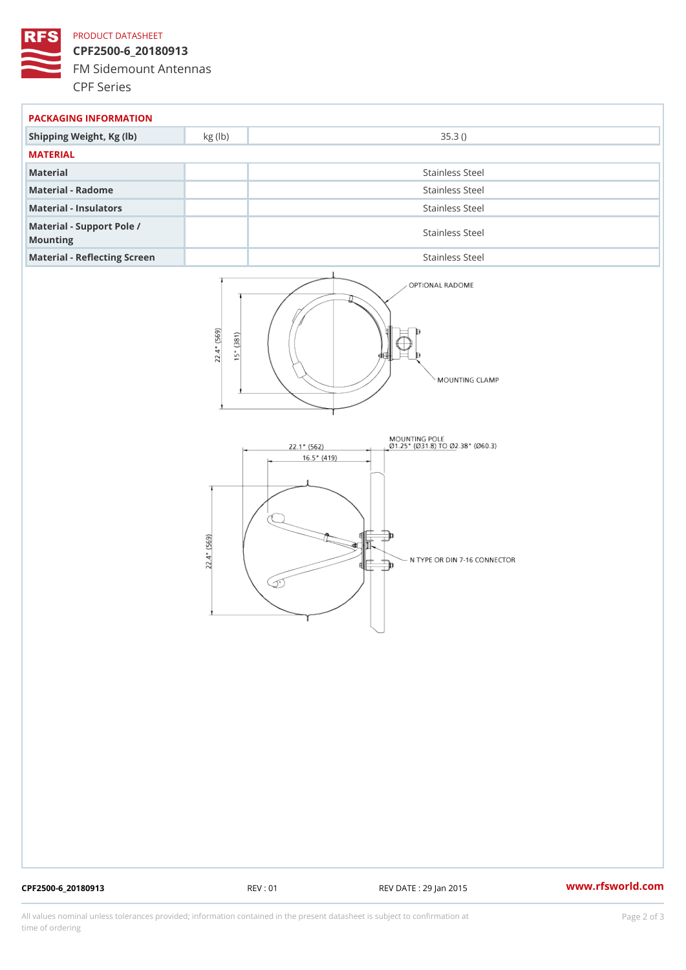## PRODUCT DATASHEET

CPF2500-6\_20180913 FM Sidemount Antennas CPF Series

| PACKAGING INFORMATION                 |                 |  |  |
|---------------------------------------|-----------------|--|--|
| Shipping Weight, Kg (Ib) kg (Ib)      | 35.3()          |  |  |
| MATERIAL                              |                 |  |  |
| Material                              | Stainless Steel |  |  |
| Material - Radome                     | Stainless Steel |  |  |
| Material - Insulators                 | Stainless Steel |  |  |
| Material - Support Pole /<br>Mounting | Stainless Steel |  |  |
| Material - Reflecting Screen          | Stainless Steel |  |  |

CPF2500-6\_20180913 REV : 01 REV DATE : 29 Jan 2015 [www.](https://www.rfsworld.com)rfsworld.com

All values nominal unless tolerances provided; information contained in the present datasheet is subject to Pcapgelio an atio time of ordering